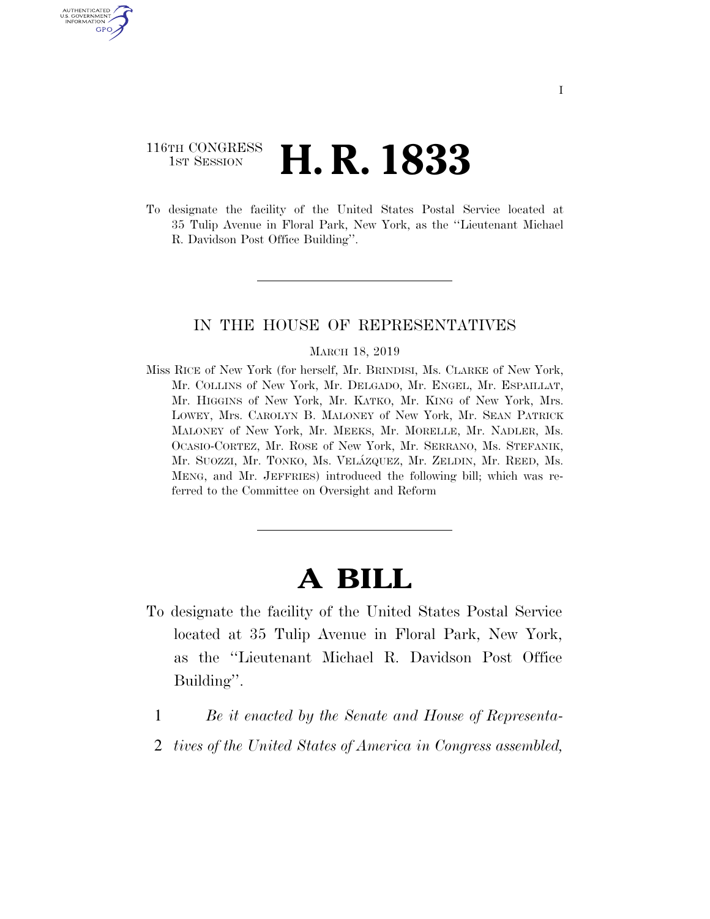### 116TH CONGRESS **1st Session H. R. 1833**

U.S. GOVERNMENT GPO

> To designate the facility of the United States Postal Service located at 35 Tulip Avenue in Floral Park, New York, as the ''Lieutenant Michael R. Davidson Post Office Building''.

#### IN THE HOUSE OF REPRESENTATIVES

#### MARCH 18, 2019

Miss RICE of New York (for herself, Mr. BRINDISI, Ms. CLARKE of New York, Mr. COLLINS of New York, Mr. DELGADO, Mr. ENGEL, Mr. ESPAILLAT, Mr. HIGGINS of New York, Mr. KATKO, Mr. KING of New York, Mrs. LOWEY, Mrs. CAROLYN B. MALONEY of New York, Mr. SEAN PATRICK MALONEY of New York, Mr. MEEKS, Mr. MORELLE, Mr. NADLER, Ms. OCASIO-CORTEZ, Mr. ROSE of New York, Mr. SERRANO, Ms. STEFANIK, Mr. SUOZZI, Mr. TONKO, Ms. VELÁZQUEZ, Mr. ZELDIN, Mr. REED, Ms. MENG, and Mr. JEFFRIES) introduced the following bill; which was referred to the Committee on Oversight and Reform

# **A BILL**

- To designate the facility of the United States Postal Service located at 35 Tulip Avenue in Floral Park, New York, as the ''Lieutenant Michael R. Davidson Post Office Building''.
	- 1 *Be it enacted by the Senate and House of Representa-*
	- 2 *tives of the United States of America in Congress assembled,*